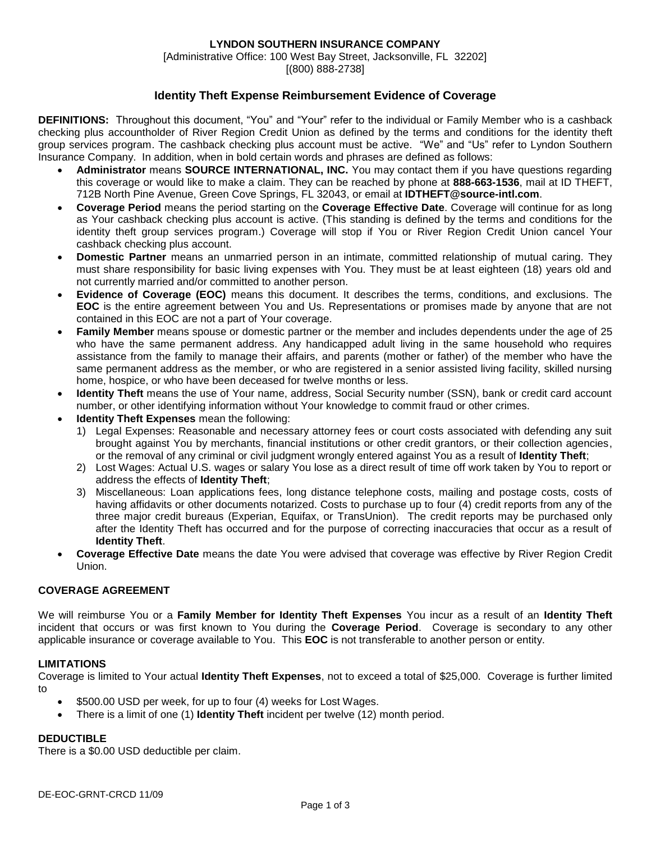### **LYNDON SOUTHERN INSURANCE COMPANY**

[Administrative Office: 100 West Bay Street, Jacksonville, FL 32202] [(800) 888-2738]

# **Identity Theft Expense Reimbursement Evidence of Coverage**

**DEFINITIONS:** Throughout this document, "You" and "Your" refer to the individual or Family Member who is a cashback checking plus accountholder of River Region Credit Union as defined by the terms and conditions for the identity theft group services program. The cashback checking plus account must be active. "We" and "Us" refer to Lyndon Southern Insurance Company. In addition, when in bold certain words and phrases are defined as follows:

- **Administrator** means **SOURCE INTERNATIONAL, INC.** You may contact them if you have questions regarding this coverage or would like to make a claim. They can be reached by phone at **888-663-1536**, mail at ID THEFT, 712B North Pine Avenue, Green Cove Springs, FL 32043, or email at **IDTHEFT@source-intl.com**.
- **Coverage Period** means the period starting on the **Coverage Effective Date**. Coverage will continue for as long as Your cashback checking plus account is active. (This standing is defined by the terms and conditions for the identity theft group services program.) Coverage will stop if You or River Region Credit Union cancel Your cashback checking plus account.
- **Domestic Partner** means an unmarried person in an intimate, committed relationship of mutual caring. They must share responsibility for basic living expenses with You. They must be at least eighteen (18) years old and not currently married and/or committed to another person.
- **Evidence of Coverage (EOC)** means this document. It describes the terms, conditions, and exclusions. The **EOC** is the entire agreement between You and Us. Representations or promises made by anyone that are not contained in this EOC are not a part of Your coverage.
- **Family Member** means spouse or domestic partner or the member and includes dependents under the age of 25 who have the same permanent address. Any handicapped adult living in the same household who requires assistance from the family to manage their affairs, and parents (mother or father) of the member who have the same permanent address as the member, or who are registered in a senior assisted living facility, skilled nursing home, hospice, or who have been deceased for twelve months or less.
- **Identity Theft** means the use of Your name, address, Social Security number (SSN), bank or credit card account number, or other identifying information without Your knowledge to commit fraud or other crimes.
- **Identity Theft Expenses** mean the following:
	- 1) Legal Expenses: Reasonable and necessary attorney fees or court costs associated with defending any suit brought against You by merchants, financial institutions or other credit grantors, or their collection agencies, or the removal of any criminal or civil judgment wrongly entered against You as a result of **Identity Theft**;
	- 2) Lost Wages: Actual U.S. wages or salary You lose as a direct result of time off work taken by You to report or address the effects of **Identity Theft**;
	- 3) Miscellaneous: Loan applications fees, long distance telephone costs, mailing and postage costs, costs of having affidavits or other documents notarized. Costs to purchase up to four (4) credit reports from any of the three major credit bureaus (Experian, Equifax, or TransUnion). The credit reports may be purchased only after the Identity Theft has occurred and for the purpose of correcting inaccuracies that occur as a result of **Identity Theft**.
- **Coverage Effective Date** means the date You were advised that coverage was effective by River Region Credit Union.

## **COVERAGE AGREEMENT**

We will reimburse You or a **Family Member for Identity Theft Expenses** You incur as a result of an **Identity Theft** incident that occurs or was first known to You during the **Coverage Period**. Coverage is secondary to any other applicable insurance or coverage available to You. This **EOC** is not transferable to another person or entity.

#### **LIMITATIONS**

Coverage is limited to Your actual **Identity Theft Expenses**, not to exceed a total of \$25,000. Coverage is further limited to

- \$500.00 USD per week, for up to four (4) weeks for Lost Wages.
- There is a limit of one (1) **Identity Theft** incident per twelve (12) month period.

#### **DEDUCTIBLE**

There is a \$0.00 USD deductible per claim.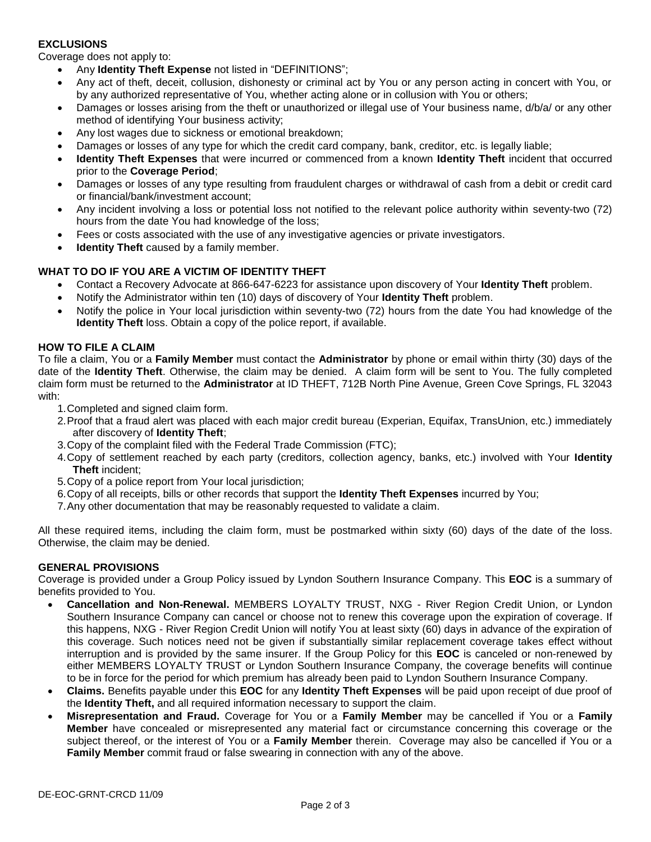## **EXCLUSIONS**

Coverage does not apply to:

- Any **Identity Theft Expense** not listed in "DEFINITIONS";
- Any act of theft, deceit, collusion, dishonesty or criminal act by You or any person acting in concert with You, or by any authorized representative of You, whether acting alone or in collusion with You or others;
- Damages or losses arising from the theft or unauthorized or illegal use of Your business name, d/b/a/ or any other method of identifying Your business activity;
- Any lost wages due to sickness or emotional breakdown;
- Damages or losses of any type for which the credit card company, bank, creditor, etc. is legally liable;
- **Identity Theft Expenses** that were incurred or commenced from a known **Identity Theft** incident that occurred prior to the **Coverage Period**;
- Damages or losses of any type resulting from fraudulent charges or withdrawal of cash from a debit or credit card or financial/bank/investment account;
- Any incident involving a loss or potential loss not notified to the relevant police authority within seventy-two (72) hours from the date You had knowledge of the loss;
- Fees or costs associated with the use of any investigative agencies or private investigators.
- **Identity Theft** caused by a family member.

## **WHAT TO DO IF YOU ARE A VICTIM OF IDENTITY THEFT**

- Contact a Recovery Advocate at 866-647-6223 for assistance upon discovery of Your **Identity Theft** problem.
- Notify the Administrator within ten (10) days of discovery of Your **Identity Theft** problem.
- Notify the police in Your local jurisdiction within seventy-two (72) hours from the date You had knowledge of the **Identity Theft** loss. Obtain a copy of the police report, if available.

# **HOW TO FILE A CLAIM**

To file a claim, You or a **Family Member** must contact the **Administrator** by phone or email within thirty (30) days of the date of the **Identity Theft**. Otherwise, the claim may be denied. A claim form will be sent to You. The fully completed claim form must be returned to the **Administrator** at ID THEFT, 712B North Pine Avenue, Green Cove Springs, FL 32043 with:

- 1.Completed and signed claim form.
- 2.Proof that a fraud alert was placed with each major credit bureau (Experian, Equifax, TransUnion, etc.) immediately after discovery of **Identity Theft**;
- 3.Copy of the complaint filed with the Federal Trade Commission (FTC);
- 4.Copy of settlement reached by each party (creditors, collection agency, banks, etc.) involved with Your **Identity Theft** incident;
- 5.Copy of a police report from Your local jurisdiction;
- 6.Copy of all receipts, bills or other records that support the **Identity Theft Expenses** incurred by You;
- 7.Any other documentation that may be reasonably requested to validate a claim.

All these required items, including the claim form, must be postmarked within sixty (60) days of the date of the loss. Otherwise, the claim may be denied.

#### **GENERAL PROVISIONS**

Coverage is provided under a Group Policy issued by Lyndon Southern Insurance Company. This **EOC** is a summary of benefits provided to You.

- **Cancellation and Non-Renewal.** MEMBERS LOYALTY TRUST, NXG River Region Credit Union, or Lyndon Southern Insurance Company can cancel or choose not to renew this coverage upon the expiration of coverage. If this happens, NXG - River Region Credit Union will notify You at least sixty (60) days in advance of the expiration of this coverage. Such notices need not be given if substantially similar replacement coverage takes effect without interruption and is provided by the same insurer. If the Group Policy for this **EOC** is canceled or non-renewed by either MEMBERS LOYALTY TRUST or Lyndon Southern Insurance Company, the coverage benefits will continue to be in force for the period for which premium has already been paid to Lyndon Southern Insurance Company.
- **Claims.** Benefits payable under this **EOC** for any **Identity Theft Expenses** will be paid upon receipt of due proof of the **Identity Theft,** and all required information necessary to support the claim.
- **Misrepresentation and Fraud.** Coverage for You or a **Family Member** may be cancelled if You or a **Family Member** have concealed or misrepresented any material fact or circumstance concerning this coverage or the subject thereof, or the interest of You or a **Family Member** therein. Coverage may also be cancelled if You or a **Family Member** commit fraud or false swearing in connection with any of the above.